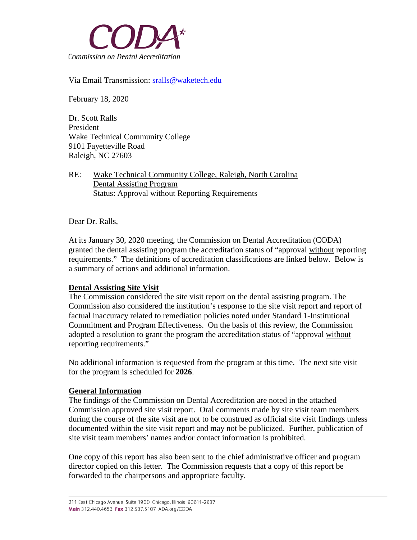

Via Email Transmission: [sralls@waketech.edu](mailto:sralls@waketech.edu)

February 18, 2020

Dr. Scott Ralls President Wake Technical Community College 9101 Fayetteville Road Raleigh, NC 27603

## RE: Wake Technical Community College, Raleigh, North Carolina Dental Assisting Program Status: Approval without Reporting Requirements

Dear Dr. Ralls,

At its January 30, 2020 meeting, the Commission on Dental Accreditation (CODA) granted the dental assisting program the accreditation status of "approval without reporting requirements." The definitions of accreditation classifications are linked below. Below is a summary of actions and additional information.

## **Dental Assisting Site Visit**

The Commission considered the site visit report on the dental assisting program. The Commission also considered the institution's response to the site visit report and report of factual inaccuracy related to remediation policies noted under Standard 1-Institutional Commitment and Program Effectiveness. On the basis of this review, the Commission adopted a resolution to grant the program the accreditation status of "approval without reporting requirements."

No additional information is requested from the program at this time. The next site visit for the program is scheduled for **2026**.

## **General Information**

The findings of the Commission on Dental Accreditation are noted in the attached Commission approved site visit report. Oral comments made by site visit team members during the course of the site visit are not to be construed as official site visit findings unless documented within the site visit report and may not be publicized. Further, publication of site visit team members' names and/or contact information is prohibited.

One copy of this report has also been sent to the chief administrative officer and program director copied on this letter. The Commission requests that a copy of this report be forwarded to the chairpersons and appropriate faculty.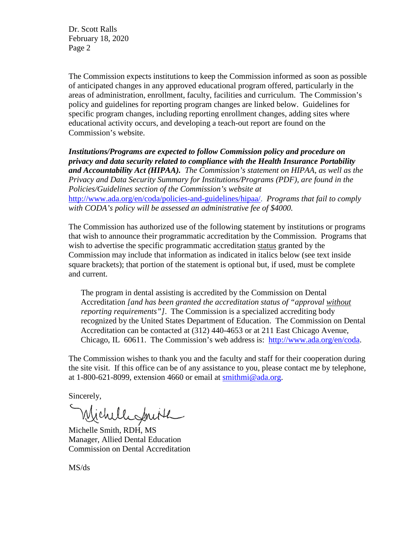Dr. Scott Ralls February 18, 2020 Page 2

The Commission expects institutions to keep the Commission informed as soon as possible of anticipated changes in any approved educational program offered, particularly in the areas of administration, enrollment, faculty, facilities and curriculum. The Commission's policy and guidelines for reporting program changes are linked below. Guidelines for specific program changes, including reporting enrollment changes, adding sites where educational activity occurs, and developing a teach-out report are found on the Commission's website.

*Institutions/Programs are expected to follow Commission policy and procedure on privacy and data security related to compliance with the Health Insurance Portability and Accountability Act (HIPAA). The Commission's statement on HIPAA, as well as the Privacy and Data Security Summary for Institutions/Programs (PDF), are found in the Policies/Guidelines section of the Commission's website at* 

[http://www.ada.org/en/coda/policies-and-guidelines/hipaa/.](http://www.ada.org/en/coda/policies-and-guidelines/hipaa/) *Programs that fail to comply with CODA's policy will be assessed an administrative fee of \$4000.*

The Commission has authorized use of the following statement by institutions or programs that wish to announce their programmatic accreditation by the Commission. Programs that wish to advertise the specific programmatic accreditation status granted by the Commission may include that information as indicated in italics below (see text inside square brackets); that portion of the statement is optional but, if used, must be complete and current.

The program in dental assisting is accredited by the Commission on Dental Accreditation *[and has been granted the accreditation status of "approval without reporting requirements"]*. The Commission is a specialized accrediting body recognized by the United States Department of Education. The Commission on Dental Accreditation can be contacted at (312) 440-4653 or at 211 East Chicago Avenue, Chicago, IL 60611. The Commission's web address is: [http://www.ada.org/en/coda.](http://www.ada.org/en/coda)

The Commission wishes to thank you and the faculty and staff for their cooperation during the site visit. If this office can be of any assistance to you, please contact me by telephone, at 1-800-621-8099, extension 4660 or email at [smithmi@ada.org.](mailto:smithmi@ada.org)

Sincerely,

Wichelesmith

Michelle Smith, RDH, MS Manager, Allied Dental Education Commission on Dental Accreditation

MS/ds